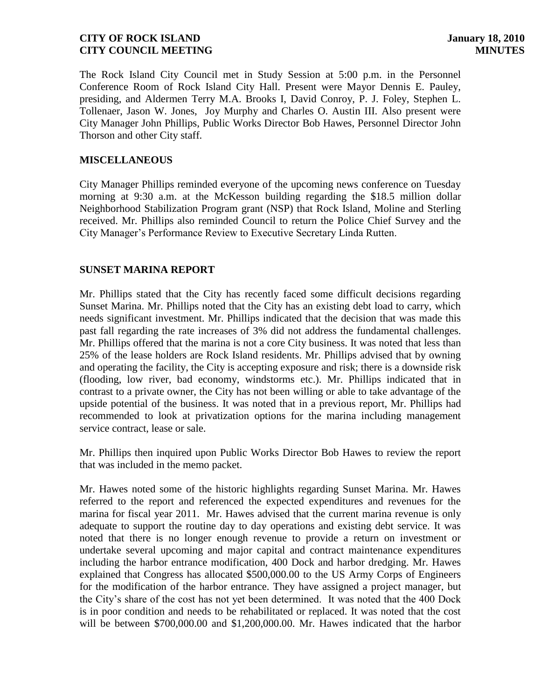The Rock Island City Council met in Study Session at 5:00 p.m. in the Personnel Conference Room of Rock Island City Hall. Present were Mayor Dennis E. Pauley, presiding, and Aldermen Terry M.A. Brooks I, David Conroy, P. J. Foley, Stephen L. Tollenaer, Jason W. Jones, Joy Murphy and Charles O. Austin III. Also present were City Manager John Phillips, Public Works Director Bob Hawes, Personnel Director John Thorson and other City staff.

### **MISCELLANEOUS**

City Manager Phillips reminded everyone of the upcoming news conference on Tuesday morning at 9:30 a.m. at the McKesson building regarding the \$18.5 million dollar Neighborhood Stabilization Program grant (NSP) that Rock Island, Moline and Sterling received. Mr. Phillips also reminded Council to return the Police Chief Survey and the City Manager's Performance Review to Executive Secretary Linda Rutten.

# **SUNSET MARINA REPORT**

Mr. Phillips stated that the City has recently faced some difficult decisions regarding Sunset Marina. Mr. Phillips noted that the City has an existing debt load to carry, which needs significant investment. Mr. Phillips indicated that the decision that was made this past fall regarding the rate increases of 3% did not address the fundamental challenges. Mr. Phillips offered that the marina is not a core City business. It was noted that less than 25% of the lease holders are Rock Island residents. Mr. Phillips advised that by owning and operating the facility, the City is accepting exposure and risk; there is a downside risk (flooding, low river, bad economy, windstorms etc.). Mr. Phillips indicated that in contrast to a private owner, the City has not been willing or able to take advantage of the upside potential of the business. It was noted that in a previous report, Mr. Phillips had recommended to look at privatization options for the marina including management service contract, lease or sale.

Mr. Phillips then inquired upon Public Works Director Bob Hawes to review the report that was included in the memo packet.

Mr. Hawes noted some of the historic highlights regarding Sunset Marina. Mr. Hawes referred to the report and referenced the expected expenditures and revenues for the marina for fiscal year 2011. Mr. Hawes advised that the current marina revenue is only adequate to support the routine day to day operations and existing debt service. It was noted that there is no longer enough revenue to provide a return on investment or undertake several upcoming and major capital and contract maintenance expenditures including the harbor entrance modification, 400 Dock and harbor dredging. Mr. Hawes explained that Congress has allocated \$500,000.00 to the US Army Corps of Engineers for the modification of the harbor entrance. They have assigned a project manager, but the City's share of the cost has not yet been determined. It was noted that the 400 Dock is in poor condition and needs to be rehabilitated or replaced. It was noted that the cost will be between \$700,000.00 and \$1,200,000.00. Mr. Hawes indicated that the harbor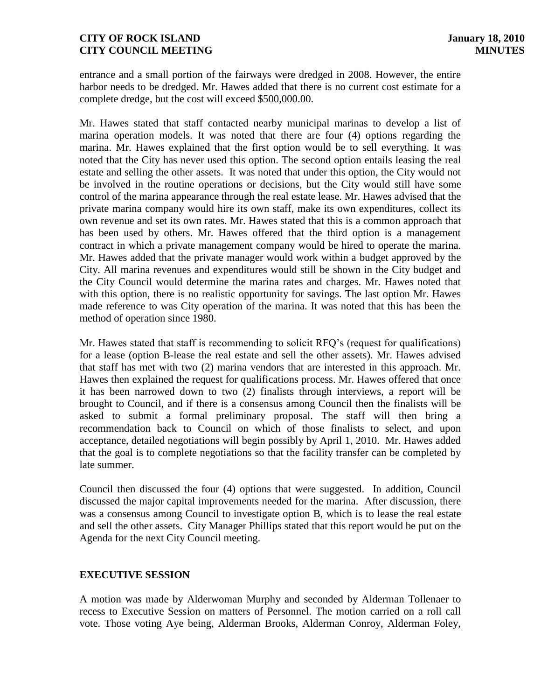entrance and a small portion of the fairways were dredged in 2008. However, the entire harbor needs to be dredged. Mr. Hawes added that there is no current cost estimate for a complete dredge, but the cost will exceed \$500,000.00.

Mr. Hawes stated that staff contacted nearby municipal marinas to develop a list of marina operation models. It was noted that there are four (4) options regarding the marina. Mr. Hawes explained that the first option would be to sell everything. It was noted that the City has never used this option. The second option entails leasing the real estate and selling the other assets. It was noted that under this option, the City would not be involved in the routine operations or decisions, but the City would still have some control of the marina appearance through the real estate lease. Mr. Hawes advised that the private marina company would hire its own staff, make its own expenditures, collect its own revenue and set its own rates. Mr. Hawes stated that this is a common approach that has been used by others. Mr. Hawes offered that the third option is a management contract in which a private management company would be hired to operate the marina. Mr. Hawes added that the private manager would work within a budget approved by the City. All marina revenues and expenditures would still be shown in the City budget and the City Council would determine the marina rates and charges. Mr. Hawes noted that with this option, there is no realistic opportunity for savings. The last option Mr. Hawes made reference to was City operation of the marina. It was noted that this has been the method of operation since 1980.

Mr. Hawes stated that staff is recommending to solicit RFQ's (request for qualifications) for a lease (option B-lease the real estate and sell the other assets). Mr. Hawes advised that staff has met with two (2) marina vendors that are interested in this approach. Mr. Hawes then explained the request for qualifications process. Mr. Hawes offered that once it has been narrowed down to two (2) finalists through interviews, a report will be brought to Council, and if there is a consensus among Council then the finalists will be asked to submit a formal preliminary proposal. The staff will then bring a recommendation back to Council on which of those finalists to select, and upon acceptance, detailed negotiations will begin possibly by April 1, 2010. Mr. Hawes added that the goal is to complete negotiations so that the facility transfer can be completed by late summer.

Council then discussed the four (4) options that were suggested. In addition, Council discussed the major capital improvements needed for the marina. After discussion, there was a consensus among Council to investigate option B, which is to lease the real estate and sell the other assets. City Manager Phillips stated that this report would be put on the Agenda for the next City Council meeting.

### **EXECUTIVE SESSION**

A motion was made by Alderwoman Murphy and seconded by Alderman Tollenaer to recess to Executive Session on matters of Personnel. The motion carried on a roll call vote. Those voting Aye being, Alderman Brooks, Alderman Conroy, Alderman Foley,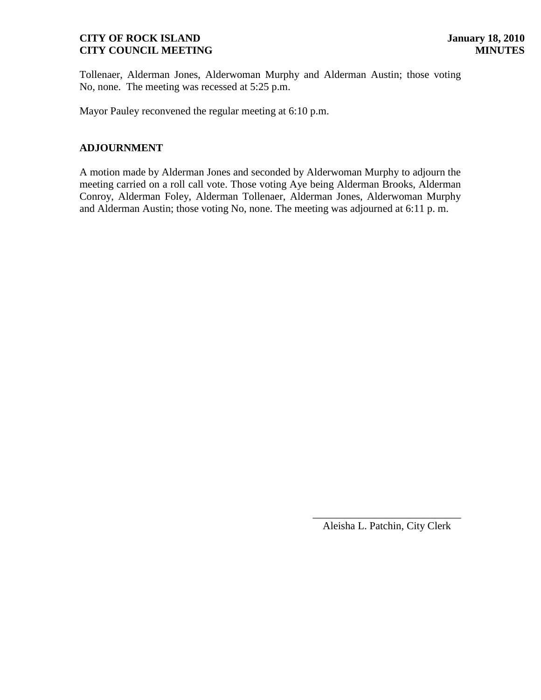Tollenaer, Alderman Jones, Alderwoman Murphy and Alderman Austin; those voting No, none. The meeting was recessed at 5:25 p.m.

Mayor Pauley reconvened the regular meeting at 6:10 p.m.

# **ADJOURNMENT**

A motion made by Alderman Jones and seconded by Alderwoman Murphy to adjourn the meeting carried on a roll call vote. Those voting Aye being Alderman Brooks, Alderman Conroy, Alderman Foley, Alderman Tollenaer, Alderman Jones, Alderwoman Murphy and Alderman Austin; those voting No, none. The meeting was adjourned at 6:11 p. m.

> \_\_\_\_\_\_\_\_\_\_\_\_\_\_\_\_\_\_\_\_\_\_\_\_\_\_\_\_ Aleisha L. Patchin, City Clerk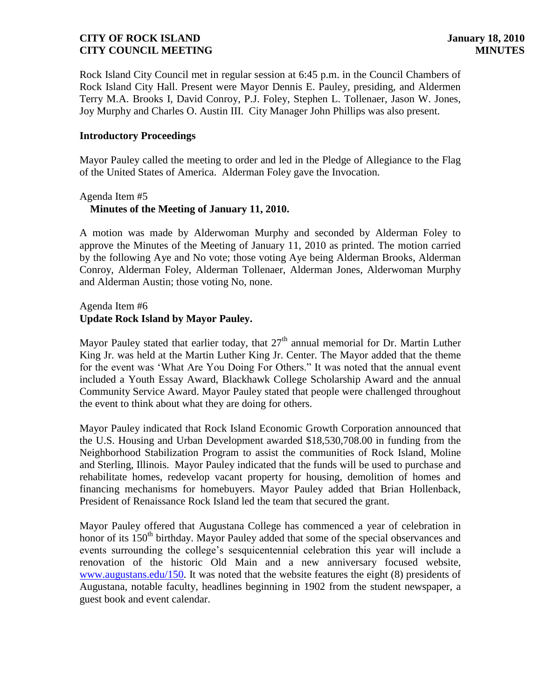Rock Island City Council met in regular session at 6:45 p.m. in the Council Chambers of Rock Island City Hall. Present were Mayor Dennis E. Pauley, presiding, and Aldermen Terry M.A. Brooks I, David Conroy, P.J. Foley, Stephen L. Tollenaer, Jason W. Jones, Joy Murphy and Charles O. Austin III. City Manager John Phillips was also present.

### **Introductory Proceedings**

Mayor Pauley called the meeting to order and led in the Pledge of Allegiance to the Flag of the United States of America. Alderman Foley gave the Invocation.

### Agenda Item #5  **Minutes of the Meeting of January 11, 2010.**

A motion was made by Alderwoman Murphy and seconded by Alderman Foley to approve the Minutes of the Meeting of January 11, 2010 as printed. The motion carried by the following Aye and No vote; those voting Aye being Alderman Brooks, Alderman Conroy, Alderman Foley, Alderman Tollenaer, Alderman Jones, Alderwoman Murphy and Alderman Austin; those voting No, none.

# Agenda Item #6 **Update Rock Island by Mayor Pauley.**

Mayor Pauley stated that earlier today, that  $27<sup>th</sup>$  annual memorial for Dr. Martin Luther King Jr. was held at the Martin Luther King Jr. Center. The Mayor added that the theme for the event was 'What Are You Doing For Others." It was noted that the annual event included a Youth Essay Award, Blackhawk College Scholarship Award and the annual Community Service Award. Mayor Pauley stated that people were challenged throughout the event to think about what they are doing for others.

Mayor Pauley indicated that Rock Island Economic Growth Corporation announced that the U.S. Housing and Urban Development awarded \$18,530,708.00 in funding from the Neighborhood Stabilization Program to assist the communities of Rock Island, Moline and Sterling, Illinois. Mayor Pauley indicated that the funds will be used to purchase and rehabilitate homes, redevelop vacant property for housing, demolition of homes and financing mechanisms for homebuyers. Mayor Pauley added that Brian Hollenback, President of Renaissance Rock Island led the team that secured the grant.

Mayor Pauley offered that Augustana College has commenced a year of celebration in honor of its 150<sup>th</sup> birthday. Mayor Pauley added that some of the special observances and events surrounding the college's sesquicentennial celebration this year will include a renovation of the historic Old Main and a new anniversary focused website, [www.augustans.edu/150.](http://www.augustans.edu/150) It was noted that the website features the eight (8) presidents of Augustana, notable faculty, headlines beginning in 1902 from the student newspaper, a guest book and event calendar.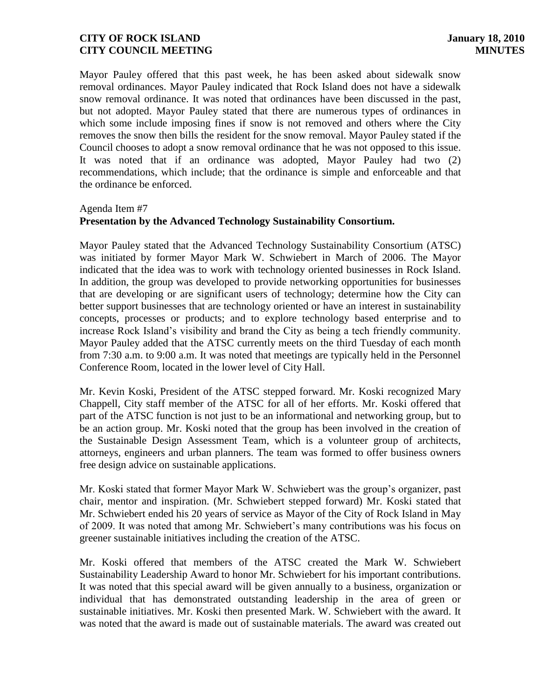Mayor Pauley offered that this past week, he has been asked about sidewalk snow removal ordinances. Mayor Pauley indicated that Rock Island does not have a sidewalk snow removal ordinance. It was noted that ordinances have been discussed in the past, but not adopted. Mayor Pauley stated that there are numerous types of ordinances in which some include imposing fines if snow is not removed and others where the City removes the snow then bills the resident for the snow removal. Mayor Pauley stated if the Council chooses to adopt a snow removal ordinance that he was not opposed to this issue. It was noted that if an ordinance was adopted, Mayor Pauley had two (2) recommendations, which include; that the ordinance is simple and enforceable and that the ordinance be enforced.

#### Agenda Item #7

### **Presentation by the Advanced Technology Sustainability Consortium.**

Mayor Pauley stated that the Advanced Technology Sustainability Consortium (ATSC) was initiated by former Mayor Mark W. Schwiebert in March of 2006. The Mayor indicated that the idea was to work with technology oriented businesses in Rock Island. In addition, the group was developed to provide networking opportunities for businesses that are developing or are significant users of technology; determine how the City can better support businesses that are technology oriented or have an interest in sustainability concepts, processes or products; and to explore technology based enterprise and to increase Rock Island's visibility and brand the City as being a tech friendly community. Mayor Pauley added that the ATSC currently meets on the third Tuesday of each month from 7:30 a.m. to 9:00 a.m. It was noted that meetings are typically held in the Personnel Conference Room, located in the lower level of City Hall.

Mr. Kevin Koski, President of the ATSC stepped forward. Mr. Koski recognized Mary Chappell, City staff member of the ATSC for all of her efforts. Mr. Koski offered that part of the ATSC function is not just to be an informational and networking group, but to be an action group. Mr. Koski noted that the group has been involved in the creation of the Sustainable Design Assessment Team, which is a volunteer group of architects, attorneys, engineers and urban planners. The team was formed to offer business owners free design advice on sustainable applications.

Mr. Koski stated that former Mayor Mark W. Schwiebert was the group's organizer, past chair, mentor and inspiration. (Mr. Schwiebert stepped forward) Mr. Koski stated that Mr. Schwiebert ended his 20 years of service as Mayor of the City of Rock Island in May of 2009. It was noted that among Mr. Schwiebert's many contributions was his focus on greener sustainable initiatives including the creation of the ATSC.

Mr. Koski offered that members of the ATSC created the Mark W. Schwiebert Sustainability Leadership Award to honor Mr. Schwiebert for his important contributions. It was noted that this special award will be given annually to a business, organization or individual that has demonstrated outstanding leadership in the area of green or sustainable initiatives. Mr. Koski then presented Mark. W. Schwiebert with the award. It was noted that the award is made out of sustainable materials. The award was created out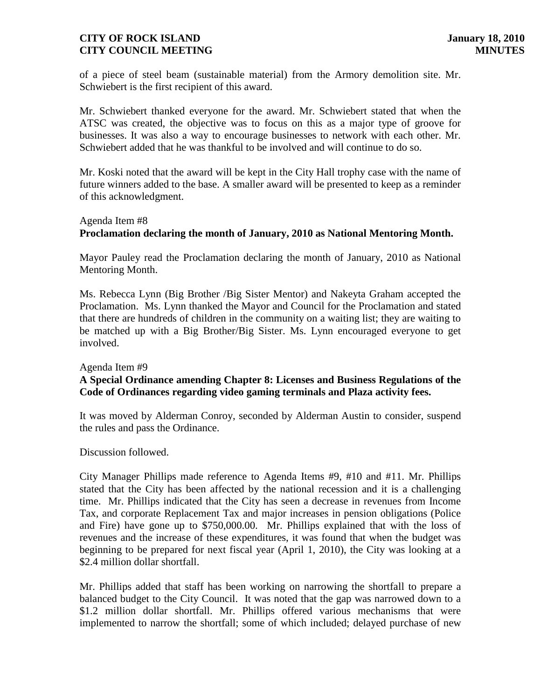of a piece of steel beam (sustainable material) from the Armory demolition site. Mr. Schwiebert is the first recipient of this award.

Mr. Schwiebert thanked everyone for the award. Mr. Schwiebert stated that when the ATSC was created, the objective was to focus on this as a major type of groove for businesses. It was also a way to encourage businesses to network with each other. Mr. Schwiebert added that he was thankful to be involved and will continue to do so.

Mr. Koski noted that the award will be kept in the City Hall trophy case with the name of future winners added to the base. A smaller award will be presented to keep as a reminder of this acknowledgment.

# Agenda Item #8 **Proclamation declaring the month of January, 2010 as National Mentoring Month.**

Mayor Pauley read the Proclamation declaring the month of January, 2010 as National Mentoring Month.

Ms. Rebecca Lynn (Big Brother /Big Sister Mentor) and Nakeyta Graham accepted the Proclamation. Ms. Lynn thanked the Mayor and Council for the Proclamation and stated that there are hundreds of children in the community on a waiting list; they are waiting to be matched up with a Big Brother/Big Sister. Ms. Lynn encouraged everyone to get involved.

### Agenda Item #9

# **A Special Ordinance amending Chapter 8: Licenses and Business Regulations of the Code of Ordinances regarding video gaming terminals and Plaza activity fees.**

It was moved by Alderman Conroy, seconded by Alderman Austin to consider, suspend the rules and pass the Ordinance.

Discussion followed.

City Manager Phillips made reference to Agenda Items #9, #10 and #11. Mr. Phillips stated that the City has been affected by the national recession and it is a challenging time. Mr. Phillips indicated that the City has seen a decrease in revenues from Income Tax, and corporate Replacement Tax and major increases in pension obligations (Police and Fire) have gone up to \$750,000.00. Mr. Phillips explained that with the loss of revenues and the increase of these expenditures, it was found that when the budget was beginning to be prepared for next fiscal year (April 1, 2010), the City was looking at a \$2.4 million dollar shortfall.

Mr. Phillips added that staff has been working on narrowing the shortfall to prepare a balanced budget to the City Council. It was noted that the gap was narrowed down to a \$1.2 million dollar shortfall. Mr. Phillips offered various mechanisms that were implemented to narrow the shortfall; some of which included; delayed purchase of new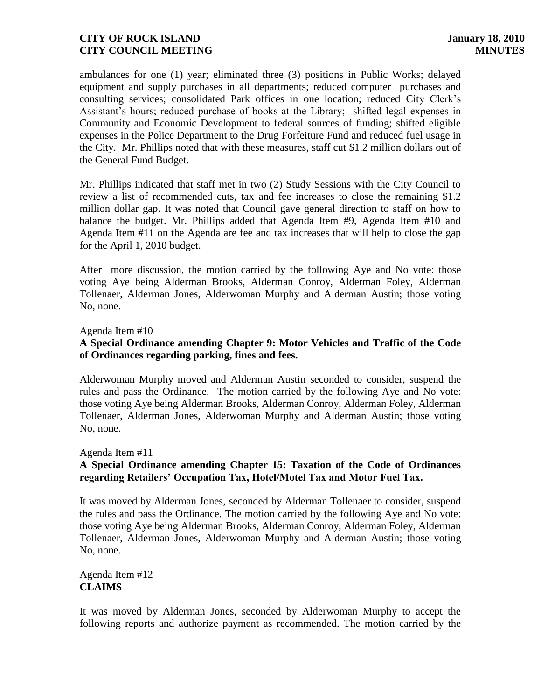ambulances for one (1) year; eliminated three (3) positions in Public Works; delayed equipment and supply purchases in all departments; reduced computer purchases and consulting services; consolidated Park offices in one location; reduced City Clerk's Assistant's hours; reduced purchase of books at the Library; shifted legal expenses in Community and Economic Development to federal sources of funding; shifted eligible expenses in the Police Department to the Drug Forfeiture Fund and reduced fuel usage in the City. Mr. Phillips noted that with these measures, staff cut \$1.2 million dollars out of the General Fund Budget.

Mr. Phillips indicated that staff met in two (2) Study Sessions with the City Council to review a list of recommended cuts, tax and fee increases to close the remaining \$1.2 million dollar gap. It was noted that Council gave general direction to staff on how to balance the budget. Mr. Phillips added that Agenda Item #9, Agenda Item #10 and Agenda Item #11 on the Agenda are fee and tax increases that will help to close the gap for the April 1, 2010 budget.

After more discussion, the motion carried by the following Aye and No vote: those voting Aye being Alderman Brooks, Alderman Conroy, Alderman Foley, Alderman Tollenaer, Alderman Jones, Alderwoman Murphy and Alderman Austin; those voting No, none.

#### Agenda Item #10

# **A Special Ordinance amending Chapter 9: Motor Vehicles and Traffic of the Code of Ordinances regarding parking, fines and fees.**

Alderwoman Murphy moved and Alderman Austin seconded to consider, suspend the rules and pass the Ordinance. The motion carried by the following Aye and No vote: those voting Aye being Alderman Brooks, Alderman Conroy, Alderman Foley, Alderman Tollenaer, Alderman Jones, Alderwoman Murphy and Alderman Austin; those voting No, none.

#### Agenda Item #11

# **A Special Ordinance amending Chapter 15: Taxation of the Code of Ordinances regarding Retailers' Occupation Tax, Hotel/Motel Tax and Motor Fuel Tax.**

It was moved by Alderman Jones, seconded by Alderman Tollenaer to consider, suspend the rules and pass the Ordinance. The motion carried by the following Aye and No vote: those voting Aye being Alderman Brooks, Alderman Conroy, Alderman Foley, Alderman Tollenaer, Alderman Jones, Alderwoman Murphy and Alderman Austin; those voting No, none.

# Agenda Item #12 **CLAIMS**

It was moved by Alderman Jones, seconded by Alderwoman Murphy to accept the following reports and authorize payment as recommended. The motion carried by the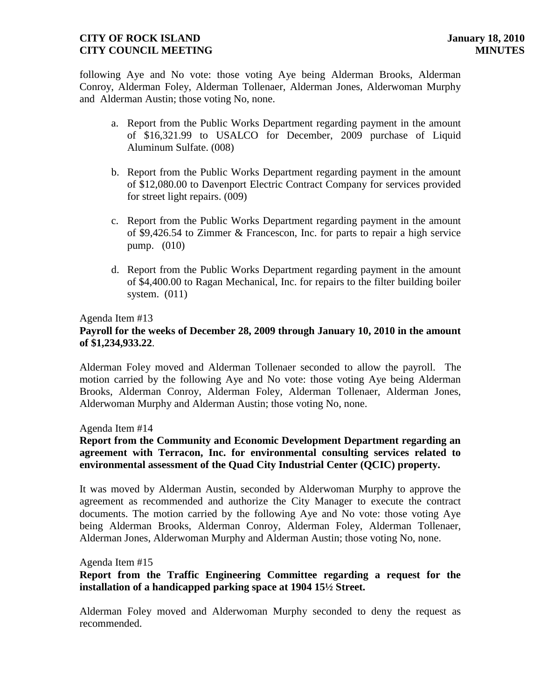following Aye and No vote: those voting Aye being Alderman Brooks, Alderman Conroy, Alderman Foley, Alderman Tollenaer, Alderman Jones, Alderwoman Murphy and Alderman Austin; those voting No, none.

- a. Report from the Public Works Department regarding payment in the amount of \$16,321.99 to USALCO for December, 2009 purchase of Liquid Aluminum Sulfate. (008)
- b. Report from the Public Works Department regarding payment in the amount of \$12,080.00 to Davenport Electric Contract Company for services provided for street light repairs. (009)
- c. Report from the Public Works Department regarding payment in the amount of \$9,426.54 to Zimmer & Francescon, Inc. for parts to repair a high service pump. (010)
- d. Report from the Public Works Department regarding payment in the amount of \$4,400.00 to Ragan Mechanical, Inc. for repairs to the filter building boiler system. (011)

### Agenda Item #13

# **Payroll for the weeks of December 28, 2009 through January 10, 2010 in the amount of \$1,234,933.22**.

Alderman Foley moved and Alderman Tollenaer seconded to allow the payroll. The motion carried by the following Aye and No vote: those voting Aye being Alderman Brooks, Alderman Conroy, Alderman Foley, Alderman Tollenaer, Alderman Jones, Alderwoman Murphy and Alderman Austin; those voting No, none.

Agenda Item #14

# **Report from the Community and Economic Development Department regarding an agreement with Terracon, Inc. for environmental consulting services related to environmental assessment of the Quad City Industrial Center (QCIC) property.**

It was moved by Alderman Austin, seconded by Alderwoman Murphy to approve the agreement as recommended and authorize the City Manager to execute the contract documents. The motion carried by the following Aye and No vote: those voting Aye being Alderman Brooks, Alderman Conroy, Alderman Foley, Alderman Tollenaer, Alderman Jones, Alderwoman Murphy and Alderman Austin; those voting No, none.

#### Agenda Item #15

# **Report from the Traffic Engineering Committee regarding a request for the installation of a handicapped parking space at 1904 15½ Street.**

Alderman Foley moved and Alderwoman Murphy seconded to deny the request as recommended.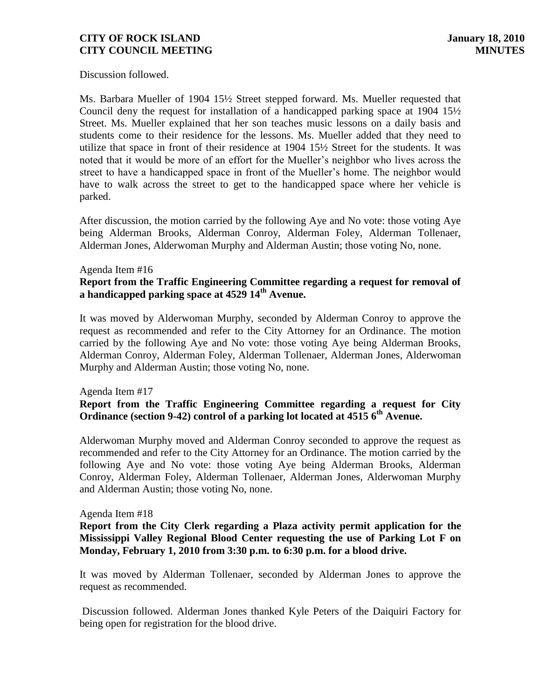Discussion followed.

Ms. Barbara Mueller of 1904 15½ Street stepped forward. Ms. Mueller requested that Council deny the request for installation of a handicapped parking space at 1904  $15\frac{1}{2}$ Street. Ms. Mueller explained that her son teaches music lessons on a daily basis and students come to their residence for the lessons. Ms. Mueller added that they need to utilize that space in front of their residence at 1904 15½ Street for the students. It was noted that it would be more of an effort for the Mueller's neighbor who lives across the street to have a handicapped space in front of the Mueller's home. The neighbor would have to walk across the street to get to the handicapped space where her vehicle is parked.

After discussion, the motion carried by the following Aye and No vote: those voting Aye being Alderman Brooks, Alderman Conroy, Alderman Foley, Alderman Tollenaer, Alderman Jones, Alderwoman Murphy and Alderman Austin; those voting No, none.

#### Agenda Item #16

# **Report from the Traffic Engineering Committee regarding a request for removal of a handicapped parking space at 4529 14th Avenue.**

It was moved by Alderwoman Murphy, seconded by Alderman Conroy to approve the request as recommended and refer to the City Attorney for an Ordinance. The motion carried by the following Aye and No vote: those voting Aye being Alderman Brooks, Alderman Conroy, Alderman Foley, Alderman Tollenaer, Alderman Jones, Alderwoman Murphy and Alderman Austin; those voting No, none.

Agenda Item #17

### **Report from the Traffic Engineering Committee regarding a request for City Ordinance (section 9-42) control of a parking lot located at 4515 6th Avenue.**

Alderwoman Murphy moved and Alderman Conroy seconded to approve the request as recommended and refer to the City Attorney for an Ordinance. The motion carried by the following Aye and No vote: those voting Aye being Alderman Brooks, Alderman Conroy, Alderman Foley, Alderman Tollenaer, Alderman Jones, Alderwoman Murphy and Alderman Austin; those voting No, none.

#### Agenda Item #18

### **Report from the City Clerk regarding a Plaza activity permit application for the Mississippi Valley Regional Blood Center requesting the use of Parking Lot F on Monday, February 1, 2010 from 3:30 p.m. to 6:30 p.m. for a blood drive.**

It was moved by Alderman Tollenaer, seconded by Alderman Jones to approve the request as recommended.

Discussion followed. Alderman Jones thanked Kyle Peters of the Daiquiri Factory for being open for registration for the blood drive.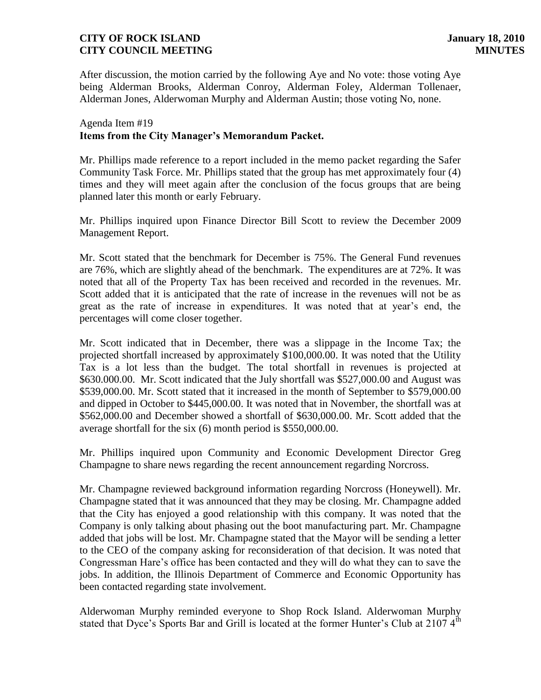After discussion, the motion carried by the following Aye and No vote: those voting Aye being Alderman Brooks, Alderman Conroy, Alderman Foley, Alderman Tollenaer, Alderman Jones, Alderwoman Murphy and Alderman Austin; those voting No, none.

# Agenda Item #19 **Items from the City Manager's Memorandum Packet.**

Mr. Phillips made reference to a report included in the memo packet regarding the Safer Community Task Force. Mr. Phillips stated that the group has met approximately four (4) times and they will meet again after the conclusion of the focus groups that are being planned later this month or early February.

Mr. Phillips inquired upon Finance Director Bill Scott to review the December 2009 Management Report.

Mr. Scott stated that the benchmark for December is 75%. The General Fund revenues are 76%, which are slightly ahead of the benchmark. The expenditures are at 72%. It was noted that all of the Property Tax has been received and recorded in the revenues. Mr. Scott added that it is anticipated that the rate of increase in the revenues will not be as great as the rate of increase in expenditures. It was noted that at year's end, the percentages will come closer together.

Mr. Scott indicated that in December, there was a slippage in the Income Tax; the projected shortfall increased by approximately \$100,000.00. It was noted that the Utility Tax is a lot less than the budget. The total shortfall in revenues is projected at \$630.000.00. Mr. Scott indicated that the July shortfall was \$527,000.00 and August was \$539,000.00. Mr. Scott stated that it increased in the month of September to \$579,000.00 and dipped in October to \$445,000.00. It was noted that in November, the shortfall was at \$562,000.00 and December showed a shortfall of \$630,000.00. Mr. Scott added that the average shortfall for the six (6) month period is \$550,000.00.

Mr. Phillips inquired upon Community and Economic Development Director Greg Champagne to share news regarding the recent announcement regarding Norcross.

Mr. Champagne reviewed background information regarding Norcross (Honeywell). Mr. Champagne stated that it was announced that they may be closing. Mr. Champagne added that the City has enjoyed a good relationship with this company. It was noted that the Company is only talking about phasing out the boot manufacturing part. Mr. Champagne added that jobs will be lost. Mr. Champagne stated that the Mayor will be sending a letter to the CEO of the company asking for reconsideration of that decision. It was noted that Congressman Hare's office has been contacted and they will do what they can to save the jobs. In addition, the Illinois Department of Commerce and Economic Opportunity has been contacted regarding state involvement.

Alderwoman Murphy reminded everyone to Shop Rock Island. Alderwoman Murphy stated that Dyce's Sports Bar and Grill is located at the former Hunter's Club at  $2107.4<sup>th</sup>$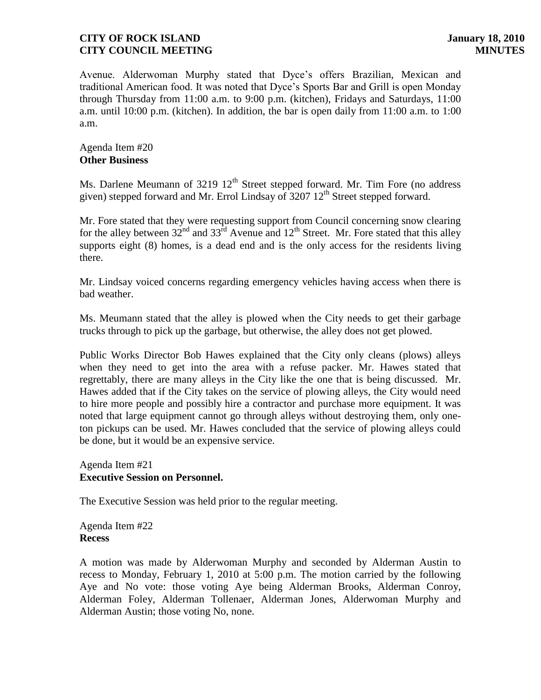Avenue. Alderwoman Murphy stated that Dyce's offers Brazilian, Mexican and traditional American food. It was noted that Dyce's Sports Bar and Grill is open Monday through Thursday from 11:00 a.m. to 9:00 p.m. (kitchen), Fridays and Saturdays, 11:00 a.m. until 10:00 p.m. (kitchen). In addition, the bar is open daily from 11:00 a.m. to 1:00 a.m.

Agenda Item #20 **Other Business**

Ms. Darlene Meumann of  $3219 \frac{12^{\text{th}}}{\text{Street stopped forward}}$ . Mr. Tim Fore (no address given) stepped forward and Mr. Errol Lindsay of  $3207 \frac{\text{12}}{\text{th}}$  Street stepped forward.

Mr. Fore stated that they were requesting support from Council concerning snow clearing for the alley between  $32^{nd}$  and  $33^{rd}$  Avenue and  $12^{th}$  Street. Mr. Fore stated that this alley supports eight (8) homes, is a dead end and is the only access for the residents living there.

Mr. Lindsay voiced concerns regarding emergency vehicles having access when there is bad weather.

Ms. Meumann stated that the alley is plowed when the City needs to get their garbage trucks through to pick up the garbage, but otherwise, the alley does not get plowed.

Public Works Director Bob Hawes explained that the City only cleans (plows) alleys when they need to get into the area with a refuse packer. Mr. Hawes stated that regrettably, there are many alleys in the City like the one that is being discussed. Mr. Hawes added that if the City takes on the service of plowing alleys, the City would need to hire more people and possibly hire a contractor and purchase more equipment. It was noted that large equipment cannot go through alleys without destroying them, only oneton pickups can be used. Mr. Hawes concluded that the service of plowing alleys could be done, but it would be an expensive service.

Agenda Item #21 **Executive Session on Personnel.** 

The Executive Session was held prior to the regular meeting.

Agenda Item #22 **Recess**

A motion was made by Alderwoman Murphy and seconded by Alderman Austin to recess to Monday, February 1, 2010 at 5:00 p.m. The motion carried by the following Aye and No vote: those voting Aye being Alderman Brooks, Alderman Conroy, Alderman Foley, Alderman Tollenaer, Alderman Jones, Alderwoman Murphy and Alderman Austin; those voting No, none.